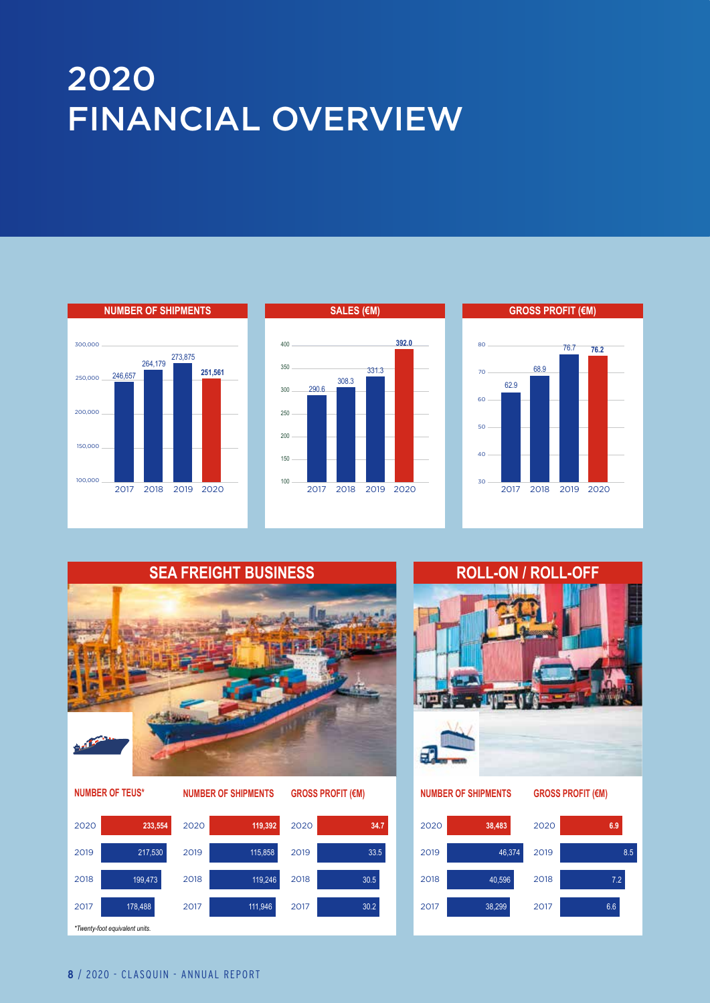## 2020 FINANCIAL OVERVIEW





8.6\*

8.6\*





**NUMBER OF TEUS\***





## 2020 **NUMBER OF SHIPMENTS NUMBER OF SHIPMENTS GROSS PROFIT (€M) GROSS PROFIT (€M)**

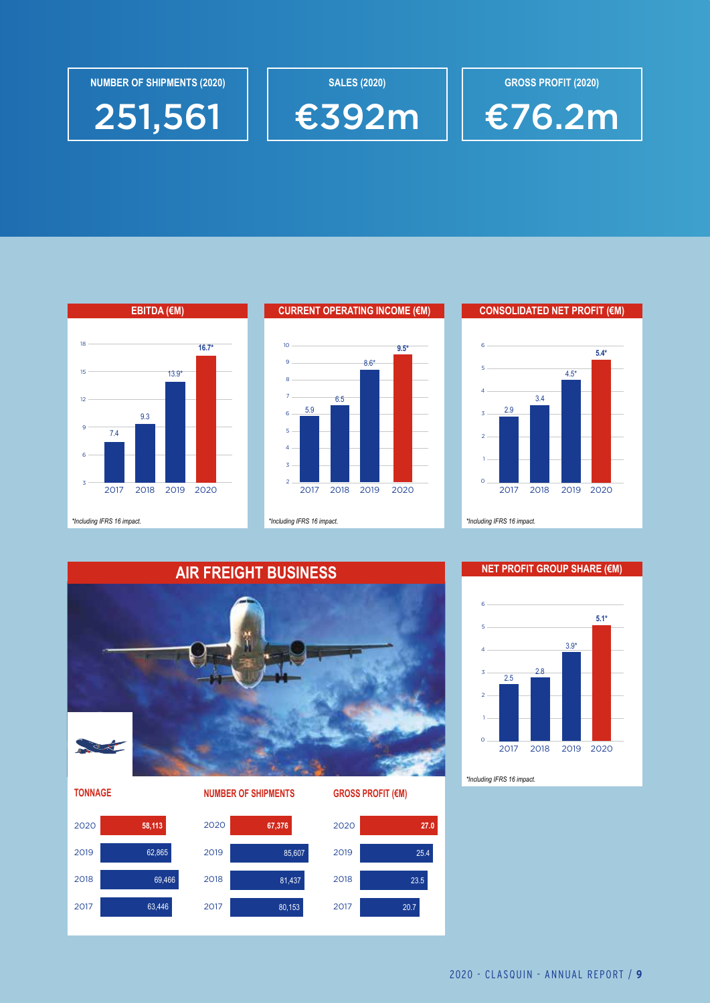



 $\overline{\phantom{0}}$ 





4 5

3

6

9

12

15

18



2017 2018 2019 2020 2017 2018 2019 2020

7.4

2017 2018 2019 2020

9.3

13.9\*

**EBITDA (€M)**

**16.7\***

*\*Including IFRS 16 impact. \*Including IFRS 16 impact. \*Including IFRS 16 impact.*











2.8

2017 2018 2019 2020





0

*\*Including IFRS 16 impact.*

2 3 4

2.5

**5.4\*** 150,000 **CURRENT OPERATING INCOME (€M) CONSOLIDATED NET PROFIT (€M)**

264,179 273,875

4.5\*

4.5\*



€392m

8.6\*

6.5

8.6\*

2017 2018 2019 2020 2017 2018 2019 2020

6.5

5.9

2017 2018 2019

5.9

**SALES (2020)**



**GROSS PROFIT (2020)**